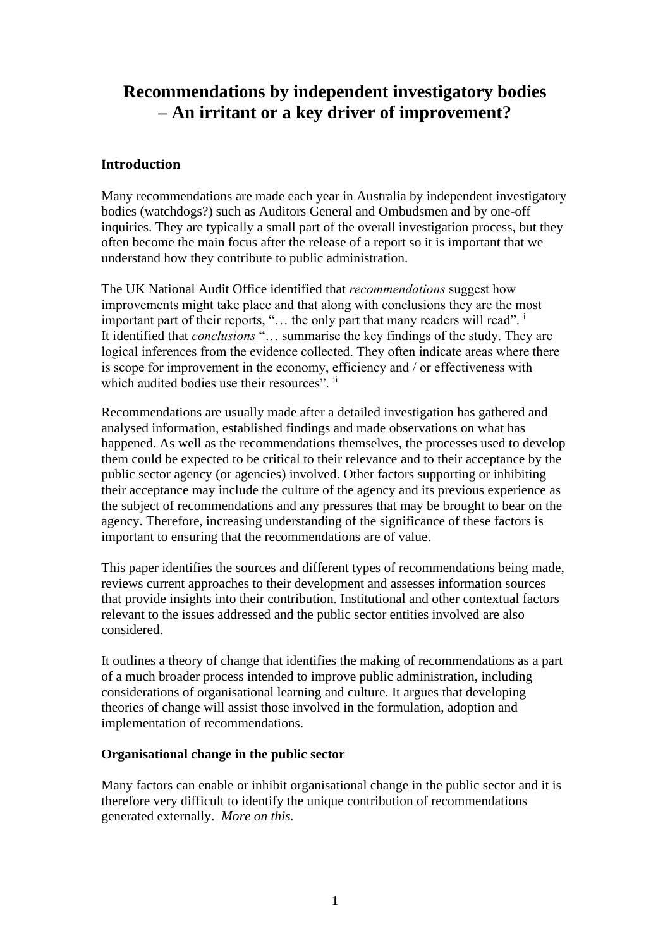# **Recommendations by independent investigatory bodies – An irritant or a key driver of improvement?**

# **Introduction**

Many recommendations are made each year in Australia by independent investigatory bodies (watchdogs?) such as Auditors General and Ombudsmen and by one-off inquiries. They are typically a small part of the overall investigation process, but they often become the main focus after the release of a report so it is important that we understand how they contribute to public administration.

The UK National Audit Office identified that *recommendations* suggest how improvements might take place and that along with conclusions they are the most important part of their reports, "... the only part that many readers will read".<sup>i</sup> It identified that *conclusions* "… summarise the key findings of the study. They are logical inferences from the evidence collected. They often indicate areas where there is scope for improvement in the economy, efficiency and / or effectiveness with which audited bodies use their resources".  $\mathrm{^{ii}}$ 

Recommendations are usually made after a detailed investigation has gathered and analysed information, established findings and made observations on what has happened. As well as the recommendations themselves, the processes used to develop them could be expected to be critical to their relevance and to their acceptance by the public sector agency (or agencies) involved. Other factors supporting or inhibiting their acceptance may include the culture of the agency and its previous experience as the subject of recommendations and any pressures that may be brought to bear on the agency. Therefore, increasing understanding of the significance of these factors is important to ensuring that the recommendations are of value.

This paper identifies the sources and different types of recommendations being made, reviews current approaches to their development and assesses information sources that provide insights into their contribution. Institutional and other contextual factors relevant to the issues addressed and the public sector entities involved are also considered.

It outlines a theory of change that identifies the making of recommendations as a part of a much broader process intended to improve public administration, including considerations of organisational learning and culture. It argues that developing theories of change will assist those involved in the formulation, adoption and implementation of recommendations.

## **Organisational change in the public sector**

Many factors can enable or inhibit organisational change in the public sector and it is therefore very difficult to identify the unique contribution of recommendations generated externally. *More on this.*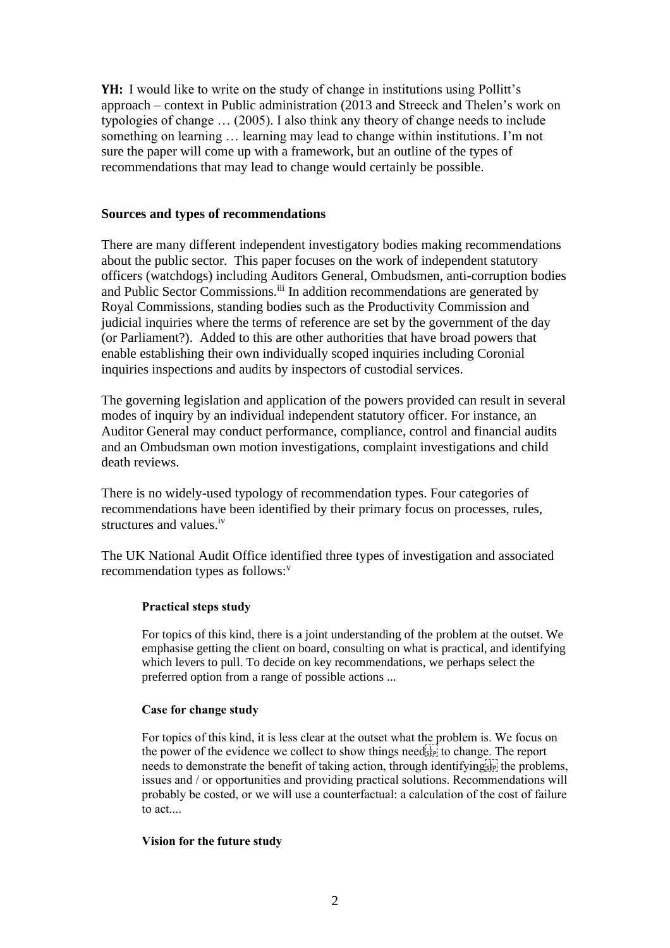**YH:** I would like to write on the study of change in institutions using Pollitt's approach – context in Public administration (2013 and Streeck and Thelen's work on typologies of change … (2005). I also think any theory of change needs to include something on learning … learning may lead to change within institutions. I'm not sure the paper will come up with a framework, but an outline of the types of recommendations that may lead to change would certainly be possible.

#### **Sources and types of recommendations**

There are many different independent investigatory bodies making recommendations about the public sector. This paper focuses on the work of independent statutory officers (watchdogs) including Auditors General, Ombudsmen, anti-corruption bodies and Public Sector Commissions.<sup>iii</sup> In addition recommendations are generated by Royal Commissions, standing bodies such as the Productivity Commission and judicial inquiries where the terms of reference are set by the government of the day (or Parliament?). Added to this are other authorities that have broad powers that enable establishing their own individually scoped inquiries including Coronial inquiries inspections and audits by inspectors of custodial services.

The governing legislation and application of the powers provided can result in several modes of inquiry by an individual independent statutory officer. For instance, an Auditor General may conduct performance, compliance, control and financial audits and an Ombudsman own motion investigations, complaint investigations and child death reviews.

There is no widely-used typology of recommendation types. Four categories of recommendations have been identified by their primary focus on processes, rules, structures and values.<sup>iv</sup>

The UK National Audit Office identified three types of investigation and associated recommendation types as follows:<sup>v</sup>

## **Practical steps study**

For topics of this kind, there is a joint understanding of the problem at the outset. We emphasise getting the client on board, consulting on what is practical, and identifying which levers to pull. To decide on key recommendations, we perhaps select the preferred option from a range of possible actions ...

## **Case for change study**

For topics of this kind, it is less clear at the outset what the problem is. We focus on the power of the evidence we collect to show things need $\sum_{i=1}^{t-1}$  to change. The report needs to demonstrate the benefit of taking action, through identifying  $\mathbb{E}$ ; the problems, issues and / or opportunities and providing practical solutions. Recommendations will probably be costed, or we will use a counterfactual: a calculation of the cost of failure to act....

## **Vision for the future study**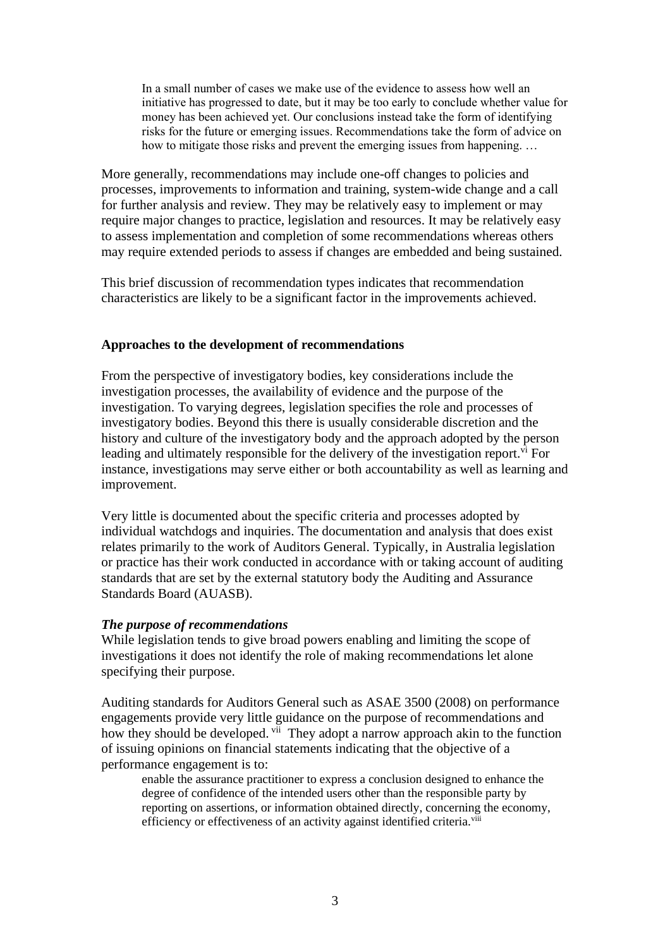In a small number of cases we make use of the evidence to assess how well an initiative has progressed to date, but it may be too early to conclude whether value for money has been achieved yet. Our conclusions instead take the form of identifying risks for the future or emerging issues. Recommendations take the form of advice on how to mitigate those risks and prevent the emerging issues from happening. …

More generally, recommendations may include one-off changes to policies and processes, improvements to information and training, system-wide change and a call for further analysis and review. They may be relatively easy to implement or may require major changes to practice, legislation and resources. It may be relatively easy to assess implementation and completion of some recommendations whereas others may require extended periods to assess if changes are embedded and being sustained.

This brief discussion of recommendation types indicates that recommendation characteristics are likely to be a significant factor in the improvements achieved.

#### **Approaches to the development of recommendations**

From the perspective of investigatory bodies, key considerations include the investigation processes, the availability of evidence and the purpose of the investigation. To varying degrees, legislation specifies the role and processes of investigatory bodies. Beyond this there is usually considerable discretion and the history and culture of the investigatory body and the approach adopted by the person leading and ultimately responsible for the delivery of the investigation report.  $\overline{v}$  For instance, investigations may serve either or both accountability as well as learning and improvement.

Very little is documented about the specific criteria and processes adopted by individual watchdogs and inquiries. The documentation and analysis that does exist relates primarily to the work of Auditors General. Typically, in Australia legislation or practice has their work conducted in accordance with or taking account of auditing standards that are set by the external statutory body the Auditing and Assurance Standards Board (AUASB).

#### *The purpose of recommendations*

While legislation tends to give broad powers enabling and limiting the scope of investigations it does not identify the role of making recommendations let alone specifying their purpose.

Auditing standards for Auditors General such as ASAE 3500 (2008) on performance engagements provide very little guidance on the purpose of recommendations and how they should be developed. <sup>vii</sup> They adopt a narrow approach akin to the function of issuing opinions on financial statements indicating that the objective of a performance engagement is to:

enable the assurance practitioner to express a conclusion designed to enhance the degree of confidence of the intended users other than the responsible party by reporting on assertions, or information obtained directly, concerning the economy, efficiency or effectiveness of an activity against identified criteria.<sup>viii</sup>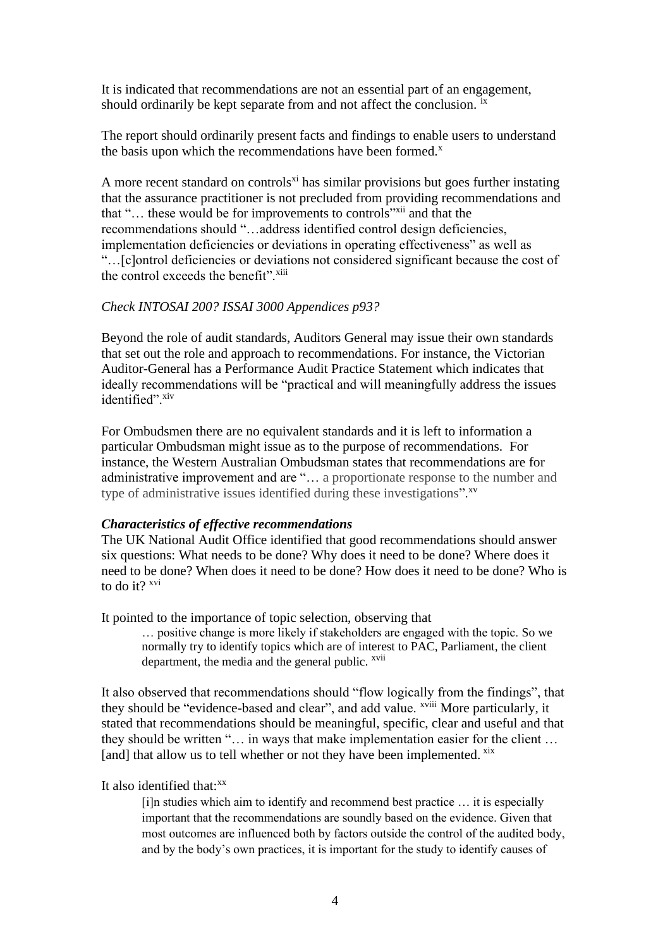It is indicated that recommendations are not an essential part of an engagement, should ordinarily be kept separate from and not affect the conclusion. <sup>ix</sup>

The report should ordinarily present facts and findings to enable users to understand the basis upon which the recommendations have been formed. $^x$ 

A more recent standard on controls<sup>xi</sup> has similar provisions but goes further instating that the assurance practitioner is not precluded from providing recommendations and that "... these would be for improvements to controls"<sup>xii</sup> and that the recommendations should "…address identified control design deficiencies, implementation deficiencies or deviations in operating effectiveness" as well as "…[c]ontrol deficiencies or deviations not considered significant because the cost of the control exceeds the benefit". $\frac{x}{y}$ 

#### *Check INTOSAI 200? ISSAI 3000 Appendices p93?*

Beyond the role of audit standards, Auditors General may issue their own standards that set out the role and approach to recommendations. For instance, the Victorian Auditor-General has a Performance Audit Practice Statement which indicates that ideally recommendations will be "practical and will meaningfully address the issues identified".xiv

For Ombudsmen there are no equivalent standards and it is left to information a particular Ombudsman might issue as to the purpose of recommendations. For instance, the Western Australian Ombudsman states that recommendations are for administrative improvement and are "… a proportionate response to the number and type of administrative issues identified during these investigations".<sup>xv</sup>

#### *Characteristics of effective recommendations*

The UK National Audit Office identified that good recommendations should answer six questions: What needs to be done? Why does it need to be done? Where does it need to be done? When does it need to be done? How does it need to be done? Who is to do it? <sup>xvi</sup>

It pointed to the importance of topic selection, observing that

… positive change is more likely if stakeholders are engaged with the topic. So we normally try to identify topics which are of interest to PAC, Parliament, the client department, the media and the general public. <sup>xvii</sup>

It also observed that recommendations should "flow logically from the findings", that they should be "evidence-based and clear", and add value. <sup>xviii</sup> More particularly, it stated that recommendations should be meaningful, specific, clear and useful and that they should be written "… in ways that make implementation easier for the client … [and] that allow us to tell whether or not they have been implemented. xix

#### It also identified that: $x^x$

[i]n studies which aim to identify and recommend best practice … it is especially important that the recommendations are soundly based on the evidence. Given that most outcomes are influenced both by factors outside the control of the audited body, and by the body's own practices, it is important for the study to identify causes of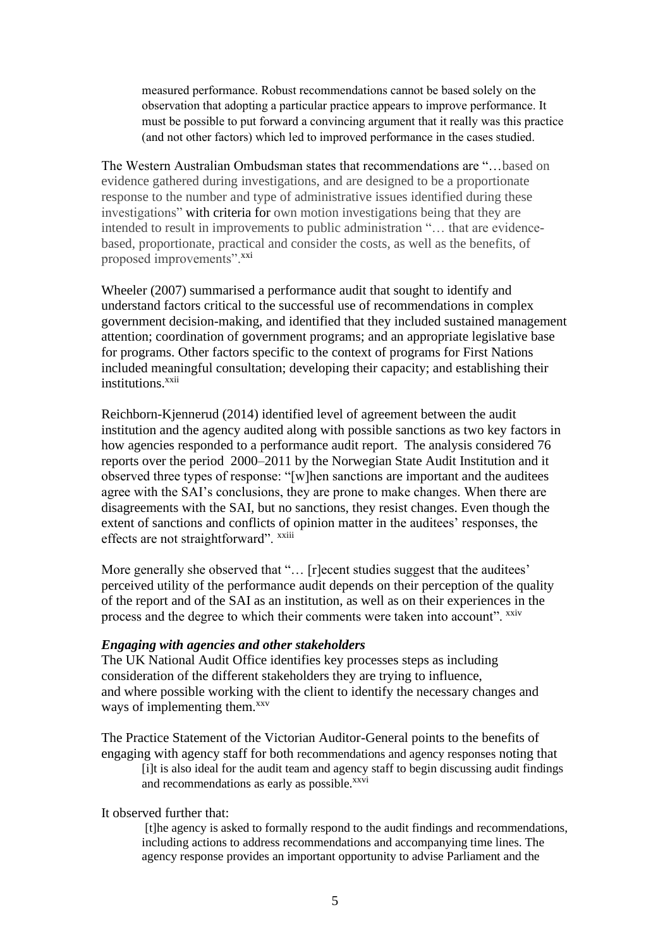measured performance. Robust recommendations cannot be based solely on the observation that adopting a particular practice appears to improve performance. It must be possible to put forward a convincing argument that it really was this practice (and not other factors) which led to improved performance in the cases studied.

The Western Australian Ombudsman states that recommendations are "…based on evidence gathered during investigations, and are designed to be a proportionate response to the number and type of administrative issues identified during these investigations" with criteria for own motion investigations being that they are intended to result in improvements to public administration "… that are evidencebased, proportionate, practical and consider the costs, as well as the benefits, of proposed improvements".<sup>xxi</sup>

Wheeler (2007) summarised a performance audit that sought to identify and understand factors critical to the successful use of recommendations in complex government decision-making, and identified that they included sustained management attention; coordination of government programs; and an appropriate legislative base for programs. Other factors specific to the context of programs for First Nations included meaningful consultation; developing their capacity; and establishing their institutions.<sup>xxii</sup>

Reichborn-Kjennerud (2014) identified level of agreement between the audit institution and the agency audited along with possible sanctions as two key factors in how agencies responded to a performance audit report. The analysis considered 76 reports over the period 2000–2011 by the Norwegian State Audit Institution and it observed three types of response: "[w]hen sanctions are important and the auditees agree with the SAI's conclusions, they are prone to make changes. When there are disagreements with the SAI, but no sanctions, they resist changes. Even though the extent of sanctions and conflicts of opinion matter in the auditees' responses, the effects are not straightforward". <sup>xxiii</sup>

More generally she observed that "... [r]ecent studies suggest that the auditees' perceived utility of the performance audit depends on their perception of the quality of the report and of the SAI as an institution, as well as on their experiences in the process and the degree to which their comments were taken into account". xxiv

## *Engaging with agencies and other stakeholders*

The UK National Audit Office identifies key processes steps as including consideration of the different stakeholders they are trying to influence, and where possible working with the client to identify the necessary changes and ways of implementing them.<sup>xxv</sup>

The Practice Statement of the Victorian Auditor-General points to the benefits of engaging with agency staff for both recommendations and agency responses noting that [i]t is also ideal for the audit team and agency staff to begin discussing audit findings and recommendations as early as possible.<sup>xxvi</sup>

It observed further that:

[t]he agency is asked to formally respond to the audit findings and recommendations, including actions to address recommendations and accompanying time lines. The agency response provides an important opportunity to advise Parliament and the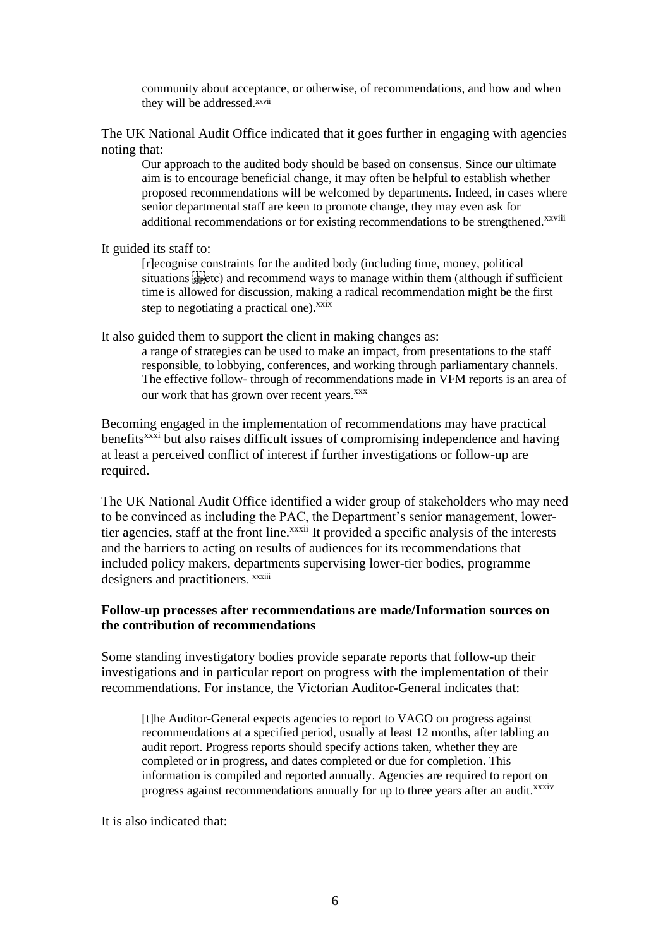community about acceptance, or otherwise, of recommendations, and how and when they will be addressed.xxvii

The UK National Audit Office indicated that it goes further in engaging with agencies noting that:

Our approach to the audited body should be based on consensus. Since our ultimate aim is to encourage beneficial change, it may often be helpful to establish whether proposed recommendations will be welcomed by departments. Indeed, in cases where senior departmental staff are keen to promote change, they may even ask for additional recommendations or for existing recommendations to be strengthened.<sup>xxviii</sup>

It guided its staff to:

[r]ecognise constraints for the audited body (including time, money, political situations  $\sum_{\text{see}}$  and recommend ways to manage within them (although if sufficient time is allowed for discussion, making a radical recommendation might be the first step to negotiating a practical one). $x$ <sup>xxix</sup>

It also guided them to support the client in making changes as:

a range of strategies can be used to make an impact, from presentations to the staff responsible, to lobbying, conferences, and working through parliamentary channels. The effective follow- through of recommendations made in VFM reports is an area of our work that has grown over recent years.<sup>xxx</sup>

Becoming engaged in the implementation of recommendations may have practical benefits<sup>xxxi</sup> but also raises difficult issues of compromising independence and having at least a perceived conflict of interest if further investigations or follow-up are required.

The UK National Audit Office identified a wider group of stakeholders who may need to be convinced as including the PAC, the Department's senior management, lowertier agencies, staff at the front line.<sup>xxxii</sup> It provided a specific analysis of the interests and the barriers to acting on results of audiences for its recommendations that included policy makers, departments supervising lower-tier bodies, programme designers and practitioners. *xxxiii* 

## **Follow-up processes after recommendations are made/Information sources on the contribution of recommendations**

Some standing investigatory bodies provide separate reports that follow-up their investigations and in particular report on progress with the implementation of their recommendations. For instance, the Victorian Auditor-General indicates that:

[t]he Auditor-General expects agencies to report to VAGO on progress against recommendations at a specified period, usually at least 12 months, after tabling an audit report. Progress reports should specify actions taken, whether they are completed or in progress, and dates completed or due for completion. This information is compiled and reported annually. Agencies are required to report on progress against recommendations annually for up to three years after an audit.<sup>xxxiv</sup>

It is also indicated that: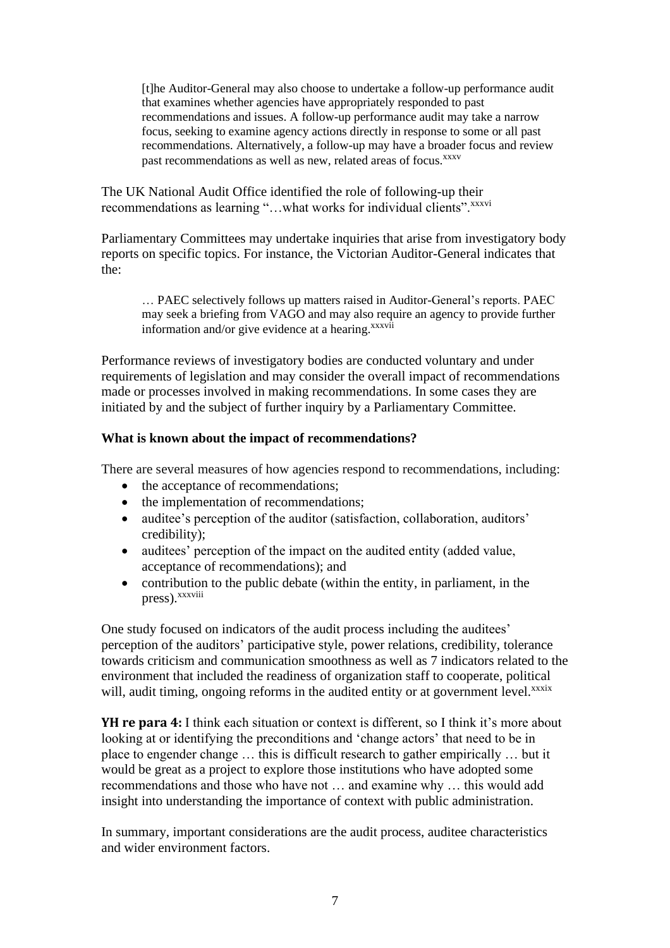[t]he Auditor-General may also choose to undertake a follow-up performance audit that examines whether agencies have appropriately responded to past recommendations and issues. A follow-up performance audit may take a narrow focus, seeking to examine agency actions directly in response to some or all past recommendations. Alternatively, a follow-up may have a broader focus and review past recommendations as well as new, related areas of focus.<sup>xxxv</sup>

The UK National Audit Office identified the role of following-up their recommendations as learning "...what works for individual clients".xxxvi

Parliamentary Committees may undertake inquiries that arise from investigatory body reports on specific topics. For instance, the Victorian Auditor-General indicates that the:

… PAEC selectively follows up matters raised in Auditor-General's reports. PAEC may seek a briefing from VAGO and may also require an agency to provide further information and/or give evidence at a hearing. $xxxvii$ 

Performance reviews of investigatory bodies are conducted voluntary and under requirements of legislation and may consider the overall impact of recommendations made or processes involved in making recommendations. In some cases they are initiated by and the subject of further inquiry by a Parliamentary Committee.

# **What is known about the impact of recommendations?**

There are several measures of how agencies respond to recommendations, including:

- the acceptance of recommendations;
- the implementation of recommendations;
- auditee's perception of the auditor (satisfaction, collaboration, auditors' credibility);
- auditees' perception of the impact on the audited entity (added value, acceptance of recommendations); and
- contribution to the public debate (within the entity, in parliament, in the press). xxxviii

One study focused on indicators of the audit process including the auditees' perception of the auditors' participative style, power relations, credibility, tolerance towards criticism and communication smoothness as well as 7 indicators related to the environment that included the readiness of organization staff to cooperate, political will, audit timing, ongoing reforms in the audited entity or at government level.<sup>xxxix</sup>

**YH re para 4:** I think each situation or context is different, so I think it's more about looking at or identifying the preconditions and 'change actors' that need to be in place to engender change … this is difficult research to gather empirically … but it would be great as a project to explore those institutions who have adopted some recommendations and those who have not … and examine why … this would add insight into understanding the importance of context with public administration.

In summary, important considerations are the audit process, auditee characteristics and wider environment factors.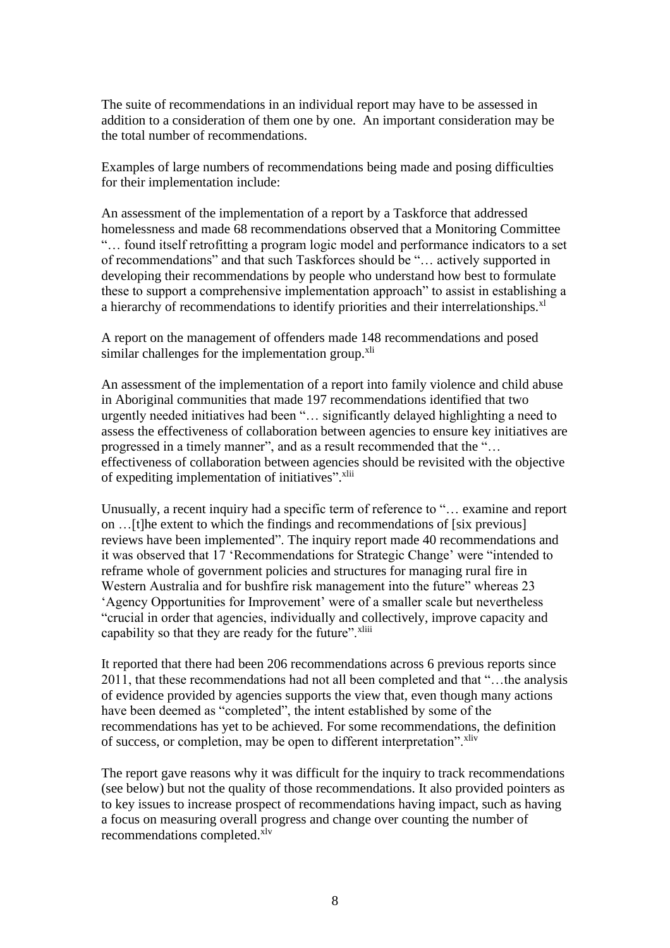The suite of recommendations in an individual report may have to be assessed in addition to a consideration of them one by one. An important consideration may be the total number of recommendations.

Examples of large numbers of recommendations being made and posing difficulties for their implementation include:

An assessment of the implementation of a report by a Taskforce that addressed homelessness and made 68 recommendations observed that a Monitoring Committee "… found itself retrofitting a program logic model and performance indicators to a set of recommendations" and that such Taskforces should be "… actively supported in developing their recommendations by people who understand how best to formulate these to support a comprehensive implementation approach" to assist in establishing a a hierarchy of recommendations to identify priorities and their interrelationships.<sup>xl</sup>

A report on the management of offenders made 148 recommendations and posed similar challenges for the implementation group.<sup>xli</sup>

An assessment of the implementation of a report into family violence and child abuse in Aboriginal communities that made 197 recommendations identified that two urgently needed initiatives had been "… significantly delayed highlighting a need to assess the effectiveness of collaboration between agencies to ensure key initiatives are progressed in a timely manner", and as a result recommended that the "… effectiveness of collaboration between agencies should be revisited with the objective of expediting implementation of initiatives". Xlii

Unusually, a recent inquiry had a specific term of reference to "… examine and report on …[t]he extent to which the findings and recommendations of [six previous] reviews have been implemented". The inquiry report made 40 recommendations and it was observed that 17 'Recommendations for Strategic Change' were "intended to reframe whole of government policies and structures for managing rural fire in Western Australia and for bushfire risk management into the future" whereas 23 'Agency Opportunities for Improvement' were of a smaller scale but nevertheless "crucial in order that agencies, individually and collectively, improve capacity and capability so that they are ready for the future".<sup>xliii</sup>

It reported that there had been 206 recommendations across 6 previous reports since 2011, that these recommendations had not all been completed and that "…the analysis of evidence provided by agencies supports the view that, even though many actions have been deemed as "completed", the intent established by some of the recommendations has yet to be achieved. For some recommendations, the definition of success, or completion, may be open to different interpretation".<sup>xliv</sup>

The report gave reasons why it was difficult for the inquiry to track recommendations (see below) but not the quality of those recommendations. It also provided pointers as to key issues to increase prospect of recommendations having impact, such as having a focus on measuring overall progress and change over counting the number of recommendations completed. $\bar{x}$ lv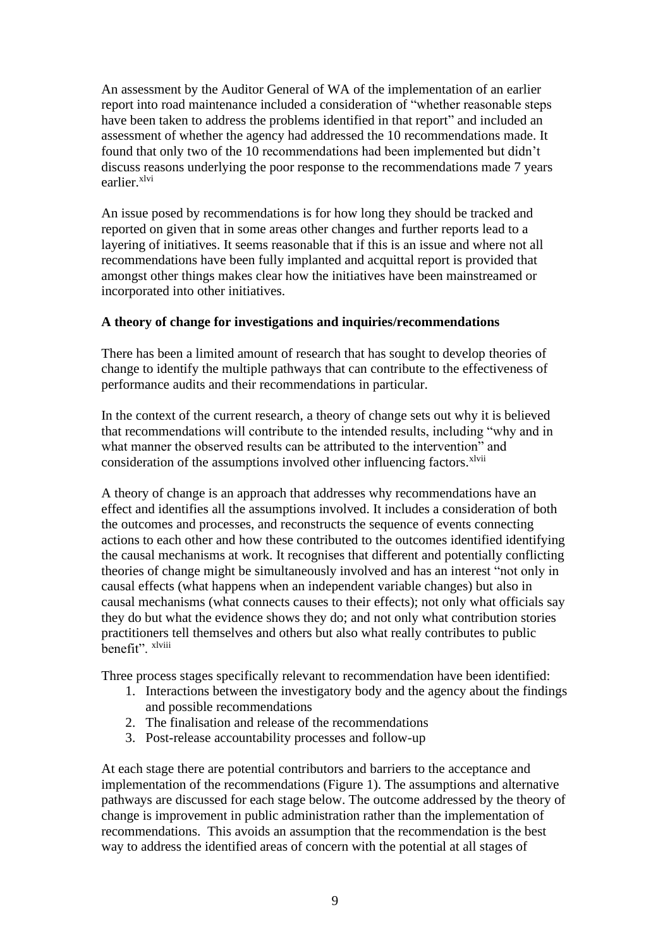An assessment by the Auditor General of WA of the implementation of an earlier report into road maintenance included a consideration of "whether reasonable steps have been taken to address the problems identified in that report" and included an assessment of whether the agency had addressed the 10 recommendations made. It found that only two of the 10 recommendations had been implemented but didn't discuss reasons underlying the poor response to the recommendations made 7 years earlier.xlvi

An issue posed by recommendations is for how long they should be tracked and reported on given that in some areas other changes and further reports lead to a layering of initiatives. It seems reasonable that if this is an issue and where not all recommendations have been fully implanted and acquittal report is provided that amongst other things makes clear how the initiatives have been mainstreamed or incorporated into other initiatives.

# **A theory of change for investigations and inquiries/recommendations**

There has been a limited amount of research that has sought to develop theories of change to identify the multiple pathways that can contribute to the effectiveness of performance audits and their recommendations in particular.

In the context of the current research, a theory of change sets out why it is believed that recommendations will contribute to the intended results, including "why and in what manner the observed results can be attributed to the intervention" and consideration of the assumptions involved other influencing factors.<sup>xlvii</sup>

A theory of change is an approach that addresses why recommendations have an effect and identifies all the assumptions involved. It includes a consideration of both the outcomes and processes, and reconstructs the sequence of events connecting actions to each other and how these contributed to the outcomes identified identifying the causal mechanisms at work. It recognises that different and potentially conflicting theories of change might be simultaneously involved and has an interest "not only in causal effects (what happens when an independent variable changes) but also in causal mechanisms (what connects causes to their effects); not only what officials say they do but what the evidence shows they do; and not only what contribution stories practitioners tell themselves and others but also what really contributes to public benefit". xlviii

Three process stages specifically relevant to recommendation have been identified:

- 1. Interactions between the investigatory body and the agency about the findings and possible recommendations
- 2. The finalisation and release of the recommendations
- 3. Post-release accountability processes and follow-up

At each stage there are potential contributors and barriers to the acceptance and implementation of the recommendations (Figure 1). The assumptions and alternative pathways are discussed for each stage below. The outcome addressed by the theory of change is improvement in public administration rather than the implementation of recommendations. This avoids an assumption that the recommendation is the best way to address the identified areas of concern with the potential at all stages of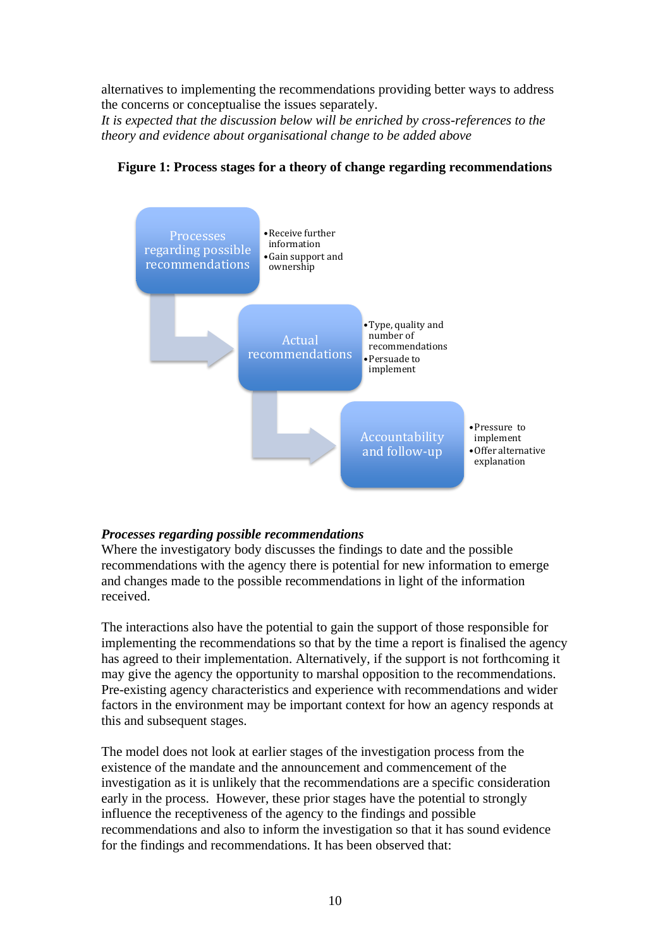alternatives to implementing the recommendations providing better ways to address the concerns or conceptualise the issues separately.

*It is expected that the discussion below will be enriched by cross-references to the theory and evidence about organisational change to be added above*



# **Figure 1: Process stages for a theory of change regarding recommendations**

## *Processes regarding possible recommendations*

Where the investigatory body discusses the findings to date and the possible recommendations with the agency there is potential for new information to emerge and changes made to the possible recommendations in light of the information received.

The interactions also have the potential to gain the support of those responsible for implementing the recommendations so that by the time a report is finalised the agency has agreed to their implementation. Alternatively, if the support is not forthcoming it may give the agency the opportunity to marshal opposition to the recommendations. Pre-existing agency characteristics and experience with recommendations and wider factors in the environment may be important context for how an agency responds at this and subsequent stages.

The model does not look at earlier stages of the investigation process from the existence of the mandate and the announcement and commencement of the investigation as it is unlikely that the recommendations are a specific consideration early in the process. However, these prior stages have the potential to strongly influence the receptiveness of the agency to the findings and possible recommendations and also to inform the investigation so that it has sound evidence for the findings and recommendations. It has been observed that: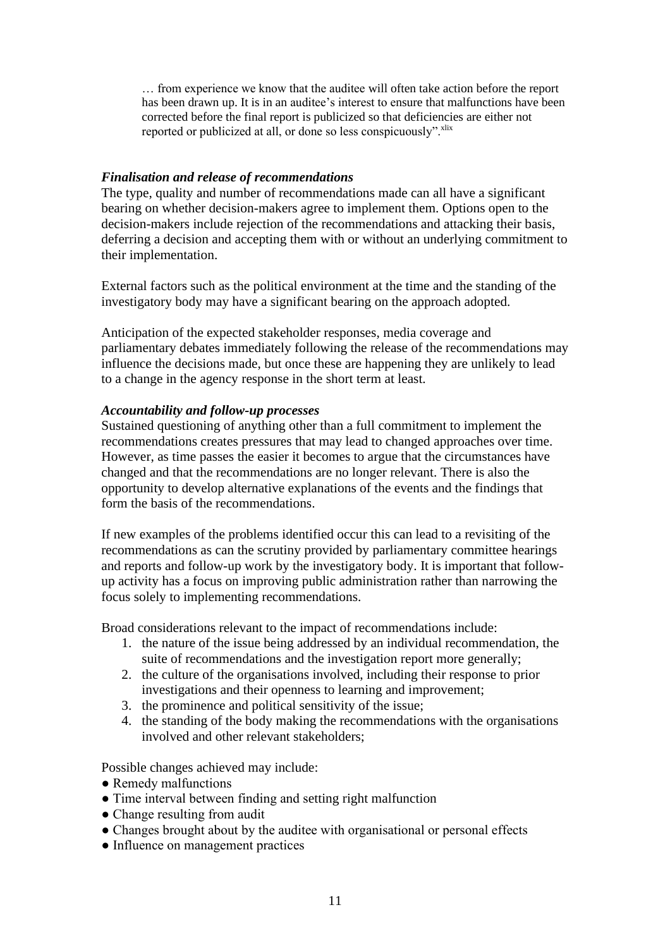… from experience we know that the auditee will often take action before the report has been drawn up. It is in an auditee's interest to ensure that malfunctions have been corrected before the final report is publicized so that deficiencies are either not reported or publicized at all, or done so less conspicuously".<sup>xlix</sup>

## *Finalisation and release of recommendations*

The type, quality and number of recommendations made can all have a significant bearing on whether decision-makers agree to implement them. Options open to the decision-makers include rejection of the recommendations and attacking their basis, deferring a decision and accepting them with or without an underlying commitment to their implementation.

External factors such as the political environment at the time and the standing of the investigatory body may have a significant bearing on the approach adopted.

Anticipation of the expected stakeholder responses, media coverage and parliamentary debates immediately following the release of the recommendations may influence the decisions made, but once these are happening they are unlikely to lead to a change in the agency response in the short term at least.

# *Accountability and follow-up processes*

Sustained questioning of anything other than a full commitment to implement the recommendations creates pressures that may lead to changed approaches over time. However, as time passes the easier it becomes to argue that the circumstances have changed and that the recommendations are no longer relevant. There is also the opportunity to develop alternative explanations of the events and the findings that form the basis of the recommendations.

If new examples of the problems identified occur this can lead to a revisiting of the recommendations as can the scrutiny provided by parliamentary committee hearings and reports and follow-up work by the investigatory body. It is important that followup activity has a focus on improving public administration rather than narrowing the focus solely to implementing recommendations.

Broad considerations relevant to the impact of recommendations include:

- 1. the nature of the issue being addressed by an individual recommendation, the suite of recommendations and the investigation report more generally;
- 2. the culture of the organisations involved, including their response to prior investigations and their openness to learning and improvement;
- 3. the prominence and political sensitivity of the issue;
- 4. the standing of the body making the recommendations with the organisations involved and other relevant stakeholders;

Possible changes achieved may include:

- Remedy malfunctions
- Time interval between finding and setting right malfunction
- Change resulting from audit
- Changes brought about by the auditee with organisational or personal effects
- Influence on management practices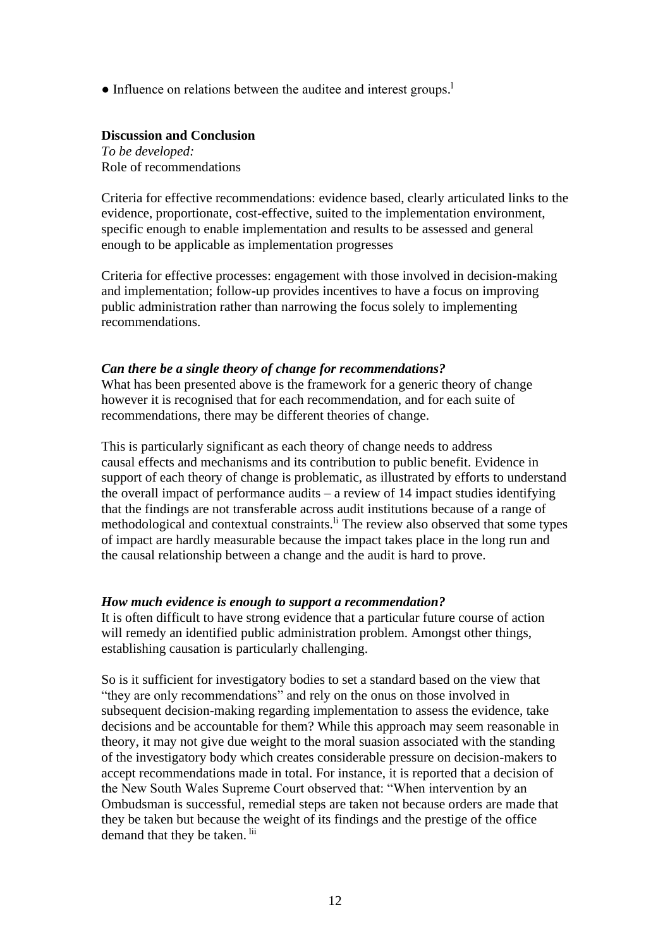• Influence on relations between the auditee and interest groups.<sup>1</sup>

## **Discussion and Conclusion**

*To be developed:* Role of recommendations

Criteria for effective recommendations: evidence based, clearly articulated links to the evidence, proportionate, cost-effective, suited to the implementation environment, specific enough to enable implementation and results to be assessed and general enough to be applicable as implementation progresses

Criteria for effective processes: engagement with those involved in decision-making and implementation; follow-up provides incentives to have a focus on improving public administration rather than narrowing the focus solely to implementing recommendations.

## *Can there be a single theory of change for recommendations?*

What has been presented above is the framework for a generic theory of change however it is recognised that for each recommendation, and for each suite of recommendations, there may be different theories of change.

This is particularly significant as each theory of change needs to address causal effects and mechanisms and its contribution to public benefit. Evidence in support of each theory of change is problematic, as illustrated by efforts to understand the overall impact of performance audits  $-$  a review of 14 impact studies identifying that the findings are not transferable across audit institutions because of a range of methodological and contextual constraints.<sup>li</sup> The review also observed that some types of impact are hardly measurable because the impact takes place in the long run and the causal relationship between a change and the audit is hard to prove.

## *How much evidence is enough to support a recommendation?*

It is often difficult to have strong evidence that a particular future course of action will remedy an identified public administration problem. Amongst other things, establishing causation is particularly challenging.

So is it sufficient for investigatory bodies to set a standard based on the view that "they are only recommendations" and rely on the onus on those involved in subsequent decision-making regarding implementation to assess the evidence, take decisions and be accountable for them? While this approach may seem reasonable in theory, it may not give due weight to the moral suasion associated with the standing of the investigatory body which creates considerable pressure on decision-makers to accept recommendations made in total. For instance, it is reported that a decision of the New South Wales Supreme Court observed that: "When intervention by an Ombudsman is successful, remedial steps are taken not because orders are made that they be taken but because the weight of its findings and the prestige of the office demand that they be taken. <sup>lii</sup>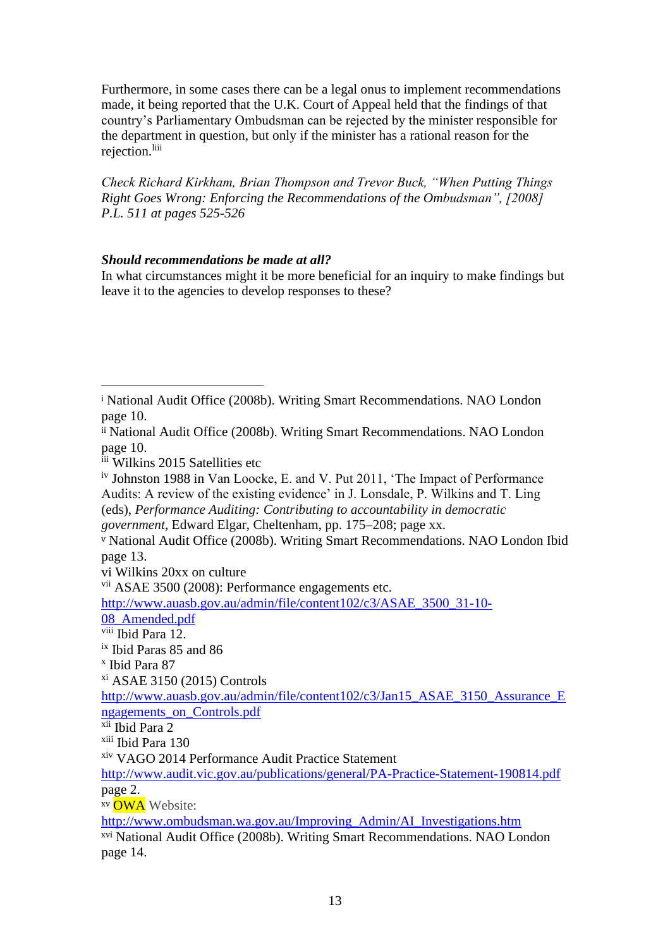Furthermore, in some cases there can be a legal onus to implement recommendations made, it being reported that the U.K. Court of Appeal held that the findings of that country's Parliamentary Ombudsman can be rejected by the minister responsible for the department in question, but only if the minister has a rational reason for the rejection.<sup>liii</sup>

*Check Richard Kirkham, Brian Thompson and Trevor Buck, "When Putting Things Right Goes Wrong: Enforcing the Recommendations of the Ombudsman", [2008] P.L. 511 at pages 525-526*

# *Should recommendations be made at all?*

In what circumstances might it be more beneficial for an inquiry to make findings but leave it to the agencies to develop responses to these?

iii Wilkins 2015 Satellities etc

iv Johnston 1988 in Van Loocke, E. and V. Put 2011, 'The Impact of Performance Audits: A review of the existing evidence' in J. Lonsdale, P. Wilkins and T. Ling (eds), *Performance Auditing: Contributing to accountability in democratic government*, Edward Elgar, Cheltenham, pp. 175–208; page xx.

vi Wilkins 20xx on culture

vii ASAE 3500 (2008): Performance engagements etc.

xv OWA Website:

[http://www.ombudsman.wa.gov.au/Improving\\_Admin/AI\\_Investigations.htm](http://www.ombudsman.wa.gov.au/Improving_Admin/AI_Investigations.htm)

<sup>i</sup> National Audit Office (2008b). Writing Smart Recommendations. NAO London page 10.

ii National Audit Office (2008b). Writing Smart Recommendations. NAO London page 10.

<sup>v</sup> National Audit Office (2008b). Writing Smart Recommendations. NAO London Ibid page 13.

[http://www.auasb.gov.au/admin/file/content102/c3/ASAE\\_3500\\_31-10-](http://www.auasb.gov.au/admin/file/content102/c3/ASAE_3500_31-10-08_Amended.pdf) [08\\_Amended.pdf](http://www.auasb.gov.au/admin/file/content102/c3/ASAE_3500_31-10-08_Amended.pdf)

viii Ibid Para 12.

ix Ibid Paras 85 and 86

x Ibid Para 87

xi ASAE 3150 (2015) Controls

[http://www.auasb.gov.au/admin/file/content102/c3/Jan15\\_ASAE\\_3150\\_Assurance\\_E](http://www.auasb.gov.au/admin/file/content102/c3/Jan15_ASAE_3150_Assurance_Engagements_on_Controls.pdf) [ngagements\\_on\\_Controls.pdf](http://www.auasb.gov.au/admin/file/content102/c3/Jan15_ASAE_3150_Assurance_Engagements_on_Controls.pdf)

xii Ibid Para 2

xiii Ibid Para 130

xiv VAGO 2014 Performance Audit Practice Statement

<http://www.audit.vic.gov.au/publications/general/PA-Practice-Statement-190814.pdf> page 2.

xvi National Audit Office (2008b). Writing Smart Recommendations. NAO London page 14.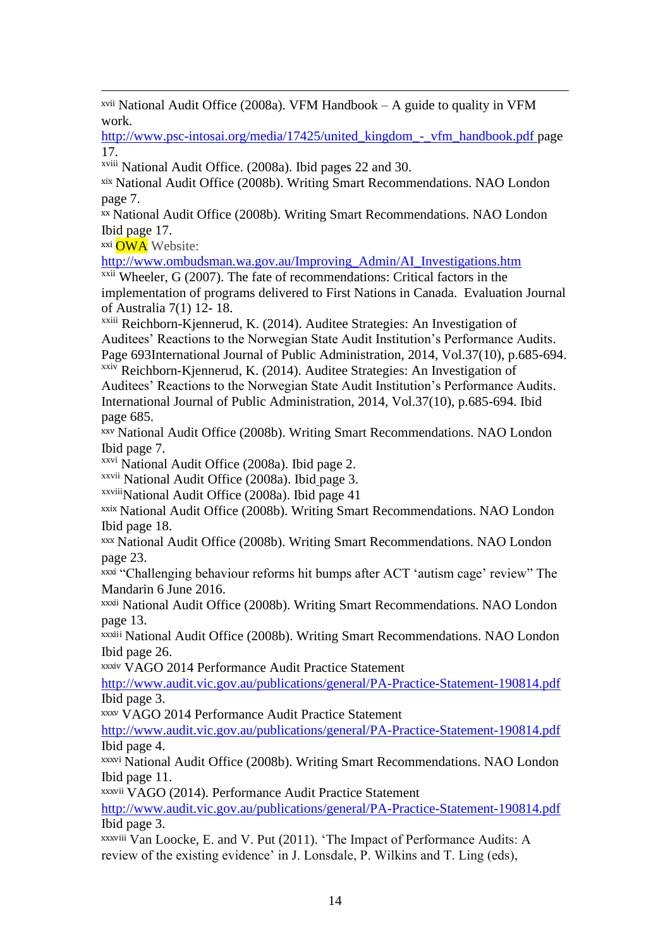xvii National Audit Office (2008a). VFM Handbook – A guide to quality in VFM work.

[http://www.psc-intosai.org/media/17425/united\\_kingdom\\_-\\_vfm\\_handbook.pdf](http://www.psc-intosai.org/media/17425/united_kingdom_-_vfm_handbook.pdf) page 17.

xviii National Audit Office. (2008a). Ibid pages 22 and 30.

xix National Audit Office (2008b). Writing Smart Recommendations. NAO London page 7.

xx National Audit Office (2008b). Writing Smart Recommendations. NAO London Ibid page 17.

xxi OWA Website:

[http://www.ombudsman.wa.gov.au/Improving\\_Admin/AI\\_Investigations.htm](http://www.ombudsman.wa.gov.au/Improving_Admin/AI_Investigations.htm)

 $x$ <sup>xxii</sup> Wheeler, G (2007). The fate of recommendations: Critical factors in the implementation of programs delivered to First Nations in Canada. Evaluation Journal of Australia 7(1) 12- 18.

xxiii Reichborn-Kjennerud, K. (2014). Auditee Strategies: An Investigation of Auditees' Reactions to the Norwegian State Audit Institution's Performance Audits. Page 693International Journal of Public Administration, 2014, Vol.37(10), p.685-694. xxiv Reichborn-Kjennerud, K. (2014). Auditee Strategies: An Investigation of

Auditees' Reactions to the Norwegian State Audit Institution's Performance Audits. International Journal of Public Administration, 2014, Vol.37(10), p.685-694. Ibid page 685.

xxv National Audit Office (2008b). Writing Smart Recommendations. NAO London Ibid page 7.

xxvi National Audit Office (2008a). Ibid page 2.

xxvii National Audit Office (2008a). Ibid page 3.

xxviiiNational Audit Office (2008a). Ibid page 41

xxix National Audit Office (2008b). Writing Smart Recommendations. NAO London Ibid page 18.

xxx National Audit Office (2008b). Writing Smart Recommendations. NAO London page 23.

xxxi "Challenging behaviour reforms hit bumps after ACT 'autism cage' review" The Mandarin 6 June 2016.

xxxii National Audit Office (2008b). Writing Smart Recommendations. NAO London page 13.

xxxiii National Audit Office (2008b). Writing Smart Recommendations. NAO London Ibid page 26.

xxxiv VAGO 2014 Performance Audit Practice Statement

<http://www.audit.vic.gov.au/publications/general/PA-Practice-Statement-190814.pdf> Ibid page 3.

xxxv VAGO 2014 Performance Audit Practice Statement

<http://www.audit.vic.gov.au/publications/general/PA-Practice-Statement-190814.pdf> Ibid page 4.

xxxvi National Audit Office (2008b). Writing Smart Recommendations. NAO London Ibid page 11.

xxxvii VAGO (2014). Performance Audit Practice Statement

<http://www.audit.vic.gov.au/publications/general/PA-Practice-Statement-190814.pdf> Ibid page 3.

xxxviii Van Loocke, E. and V. Put (2011). 'The Impact of Performance Audits: A review of the existing evidence' in J. Lonsdale, P. Wilkins and T. Ling (eds),